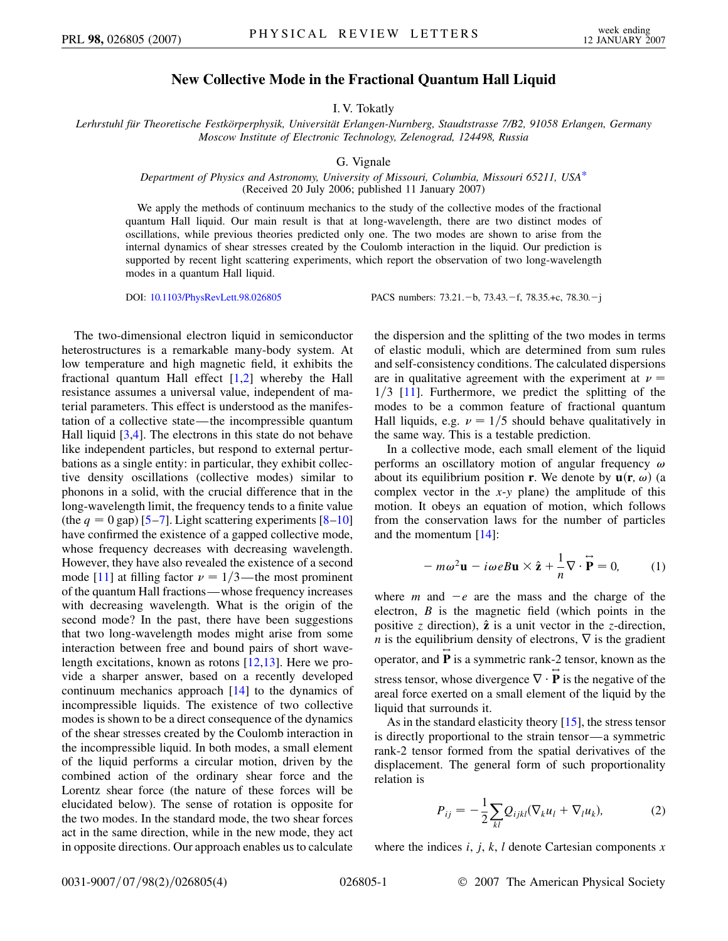## **New Collective Mode in the Fractional Quantum Hall Liquid**

I. V. Tokatly

<span id="page-0-2"></span>*Lerhrstuhl fu¨r Theoretische Festko¨rperphysik, Universita¨t Erlangen-Nurnberg, Staudtstrasse 7/B2, 91058 Erlangen, Germany Moscow Institute of Electronic Technology, Zelenograd, 124498, Russia*

G. Vignale

## *Department of Physics and Astronomy, University of Missouri, Columbia, Missouri 65211, USA*[\\*](#page-3-0) (Received 20 July 2006; published 11 January 2007)

We apply the methods of continuum mechanics to the study of the collective modes of the fractional quantum Hall liquid. Our main result is that at long-wavelength, there are two distinct modes of oscillations, while previous theories predicted only one. The two modes are shown to arise from the internal dynamics of shear stresses created by the Coulomb interaction in the liquid. Our prediction is supported by recent light scattering experiments, which report the observation of two long-wavelength modes in a quantum Hall liquid.

DOI: [10.1103/PhysRevLett.98.026805](http://dx.doi.org/10.1103/PhysRevLett.98.026805) PACS numbers: 73.21. - b, 73.43. - f, 78.35. +c, 78.30. - j

The two-dimensional electron liquid in semiconductor heterostructures is a remarkable many-body system. At low temperature and high magnetic field, it exhibits the fractional quantum Hall effect [[1](#page-3-1)[,2\]](#page-3-2) whereby the Hall resistance assumes a universal value, independent of material parameters. This effect is understood as the manifestation of a collective state—the incompressible quantum Hall liquid [[3](#page-3-3),[4](#page-3-4)]. The electrons in this state do not behave like independent particles, but respond to external perturbations as a single entity: in particular, they exhibit collective density oscillations (collective modes) similar to phonons in a solid, with the crucial difference that in the long-wavelength limit, the frequency tends to a finite value (the  $q = 0$  gap) [\[5](#page-3-5)[–7](#page-3-6)]. Light scattering experiments [[8](#page-3-7)[–10\]](#page-3-8) have confirmed the existence of a gapped collective mode, whose frequency decreases with decreasing wavelength. However, they have also revealed the existence of a second mode [[11](#page-3-9)] at filling factor  $\nu = 1/3$ —the most prominent of the quantum Hall fractions—whose frequency increases with decreasing wavelength. What is the origin of the second mode? In the past, there have been suggestions that two long-wavelength modes might arise from some interaction between free and bound pairs of short wavelength excitations, known as rotons [\[12](#page-3-10)[,13\]](#page-3-11). Here we provide a sharper answer, based on a recently developed continuum mechanics approach [[14](#page-3-12)] to the dynamics of incompressible liquids. The existence of two collective modes is shown to be a direct consequence of the dynamics of the shear stresses created by the Coulomb interaction in the incompressible liquid. In both modes, a small element of the liquid performs a circular motion, driven by the combined action of the ordinary shear force and the Lorentz shear force (the nature of these forces will be elucidated below). The sense of rotation is opposite for the two modes. In the standard mode, the two shear forces act in the same direction, while in the new mode, they act in opposite directions. Our approach enables us to calculate

the dispersion and the splitting of the two modes in terms of elastic moduli, which are determined from sum rules and self-consistency conditions. The calculated dispersions are in qualitative agreement with the experiment at  $\nu =$ 1/3 [[11](#page-3-9)]. Furthermore, we predict the splitting of the modes to be a common feature of fractional quantum Hall liquids, e.g.  $\nu = 1/5$  should behave qualitatively in the same way. This is a testable prediction.

In a collective mode, each small element of the liquid performs an oscillatory motion of angular frequency  $\omega$ about its equilibrium position **r**. We denote by  $\mathbf{u}(\mathbf{r}, \omega)$  (a complex vector in the *x*-*y* plane) the amplitude of this motion. It obeys an equation of motion, which follows from the conservation laws for the number of particles and the momentum [\[14\]](#page-3-12):

<span id="page-0-1"></span>
$$
-m\omega^2 \mathbf{u} - i\omega e B \mathbf{u} \times \hat{\mathbf{z}} + \frac{1}{n} \nabla \cdot \widetilde{\mathbf{P}} = 0, \qquad (1)
$$

where *m* and  $-e$  are the mass and the charge of the electron, *B* is the magnetic field (which points in the positive *z* direction),  $\hat{z}$  is a unit vector in the *z*-direction, *n* is the equilibrium density of electrons,  $\nabla$  is the gradient operator, and  $\vec{P}$  is a symmetric rank-2 tensor, known as the stress tensor, whose divergence  $\nabla \cdot \vec{P}$  is the negative of the areal force exerted on a small element of the liquid by the liquid that surrounds it.

<span id="page-0-0"></span>As in the standard elasticity theory [\[15\]](#page-3-13), the stress tensor is directly proportional to the strain tensor—a symmetric rank-2 tensor formed from the spatial derivatives of the displacement. The general form of such proportionality relation is

$$
P_{ij} = -\frac{1}{2} \sum_{kl} Q_{ijkl} (\nabla_k u_l + \nabla_l u_k), \tag{2}
$$

where the indices *i*, *j*, *k*, *l* denote Cartesian components *x*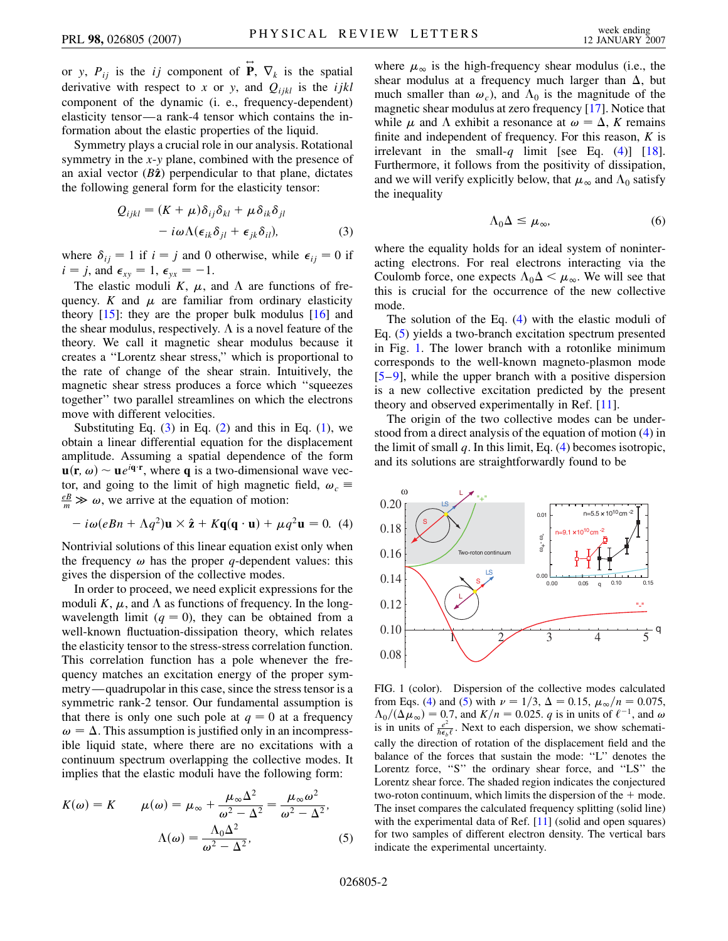or *y*,  $P_{ij}$  is the *ij* component of  $\overrightarrow{P}$ ,  $\nabla_k$  is the spatial derivative with respect to *x* or *y*, and  $Q_{ijkl}$  is the *ijkl* component of the dynamic (i. e., frequency-dependent) elasticity tensor—a rank-4 tensor which contains the information about the elastic properties of the liquid.

<span id="page-1-0"></span>Symmetry plays a crucial role in our analysis. Rotational symmetry in the *x*-*y* plane, combined with the presence of an axial vector  $(B\hat{z})$  perpendicular to that plane, dictates the following general form for the elasticity tensor:

$$
Q_{ijkl} = (K + \mu)\delta_{ij}\delta_{kl} + \mu\delta_{ik}\delta_{jl}
$$

$$
-i\omega\Lambda(\epsilon_{ik}\delta_{jl} + \epsilon_{jk}\delta_{il}),
$$
(3)

where  $\delta_{ij} = 1$  if  $i = j$  and 0 otherwise, while  $\epsilon_{ij} = 0$  if  $i = j$ , and  $\epsilon_{xy} = 1$ ,  $\epsilon_{yx} = -1$ .

The elastic moduli *K*,  $\mu$ , and  $\Lambda$  are functions of frequency. *K* and  $\mu$  are familiar from ordinary elasticity theory  $[15]$  $[15]$  $[15]$ : they are the proper bulk modulus  $[16]$  $[16]$  and the shear modulus, respectively.  $\Lambda$  is a novel feature of the theory. We call it magnetic shear modulus because it creates a ''Lorentz shear stress,'' which is proportional to the rate of change of the shear strain. Intuitively, the magnetic shear stress produces a force which ''squeezes together'' two parallel streamlines on which the electrons move with different velocities.

Substituting Eq.  $(3)$  $(3)$  in Eq.  $(2)$  $(2)$  and this in Eq.  $(1)$  $(1)$ , we obtain a linear differential equation for the displacement amplitude. Assuming a spatial dependence of the form  $\mathbf{u}(\mathbf{r}, \omega) \sim \mathbf{u} e^{i\mathbf{q} \cdot \mathbf{r}}$ , where **q** is a two-dimensional wave vector, and going to the limit of high magnetic field,  $\omega_c \equiv$  $\frac{e}{m} \gg \omega$ , we arrive at the equation of motion:

<span id="page-1-1"></span>
$$
-i\omega(eBn + \Lambda q^2)\mathbf{u} \times \hat{\mathbf{z}} + K\mathbf{q}(\mathbf{q} \cdot \mathbf{u}) + \mu q^2 \mathbf{u} = 0.
$$
 (4)

Nontrivial solutions of this linear equation exist only when the frequency  $\omega$  has the proper *q*-dependent values: this gives the dispersion of the collective modes.

In order to proceed, we need explicit expressions for the moduli *K*,  $\mu$ , and  $\Lambda$  as functions of frequency. In the longwavelength limit  $(q = 0)$ , they can be obtained from a well-known fluctuation-dissipation theory, which relates the elasticity tensor to the stress-stress correlation function. This correlation function has a pole whenever the frequency matches an excitation energy of the proper symmetry—quadrupolar in this case, since the stress tensor is a symmetric rank-2 tensor. Our fundamental assumption is that there is only one such pole at  $q = 0$  at a frequency  $\omega = \Delta$ . This assumption is justified only in an incompressible liquid state, where there are no excitations with a continuum spectrum overlapping the collective modes. It implies that the elastic moduli have the following form:

<span id="page-1-2"></span>
$$
K(\omega) = K \qquad \mu(\omega) = \mu_{\infty} + \frac{\mu_{\infty} \Delta^2}{\omega^2 - \Delta^2} = \frac{\mu_{\infty} \omega^2}{\omega^2 - \Delta^2},
$$

$$
\Lambda(\omega) = \frac{\Lambda_0 \Delta^2}{\omega^2 - \Delta^2},
$$
(5)

where  $\mu_{\infty}$  is the high-frequency shear modulus (i.e., the shear modulus at a frequency much larger than  $\Delta$ , but much smaller than  $\omega_c$ ), and  $\Lambda_0$  is the magnitude of the magnetic shear modulus at zero frequency [\[17\]](#page-3-15). Notice that while  $\mu$  and  $\Lambda$  exhibit a resonance at  $\omega = \Delta$ , *K* remains finite and independent of frequency. For this reason, *K* is irrelevant in the small-q limit [see Eq.  $(4)$  $(4)$ ] [[18\]](#page-3-16). Furthermore, it follows from the positivity of dissipation, and we will verify explicitly below, that  $\mu_{\infty}$  and  $\Lambda_0$  satisfy the inequality

$$
\Lambda_0 \Delta \le \mu_\infty,\tag{6}
$$

<span id="page-1-4"></span>where the equality holds for an ideal system of noninteracting electrons. For real electrons interacting via the Coulomb force, one expects  $\Lambda_0 \Delta \leq \mu_{\infty}$ . We will see that this is crucial for the occurrence of the new collective mode.

The solution of the Eq. ([4\)](#page-1-1) with the elastic moduli of Eq. ([5\)](#page-1-2) yields a two-branch excitation spectrum presented in Fig. [1](#page-1-3). The lower branch with a rotonlike minimum corresponds to the well-known magneto-plasmon mode [\[5](#page-3-5)–[9\]](#page-3-17), while the upper branch with a positive dispersion is a new collective excitation predicted by the present theory and observed experimentally in Ref. [\[11\]](#page-3-9).

The origin of the two collective modes can be understood from a direct analysis of the equation of motion [\(4](#page-1-1)) in the limit of small *q*. In this limit, Eq. [\(4](#page-1-1)) becomes isotropic, and its solutions are straightforwardly found to be

<span id="page-1-3"></span>

FIG. 1 (color). Dispersion of the collective modes calculated from Eqs. ([4\)](#page-1-1) and [\(5](#page-1-2)) with  $\nu = 1/3$ ,  $\Delta = 0.15$ ,  $\mu_{\infty}/n = 0.075$ ,  $\Lambda_0/(\Delta \mu_\infty) = 0.7$ , and  $K/n = 0.025$ . *q* is in units of  $\ell^{-1}$ , and  $\omega$ is in units of  $\frac{e^2}{\hbar \epsilon_b \ell}$ . Next to each dispersion, we show schematically the direction of rotation of the displacement field and the balance of the forces that sustain the mode: ''L'' denotes the Lorentz force, "S" the ordinary shear force, and "LS" the Lorentz shear force. The shaded region indicates the conjectured two-roton continuum, which limits the dispersion of the  $+$  mode. The inset compares the calculated frequency splitting (solid line) with the experimental data of Ref. [[11](#page-3-9)] (solid and open squares) for two samples of different electron density. The vertical bars indicate the experimental uncertainty.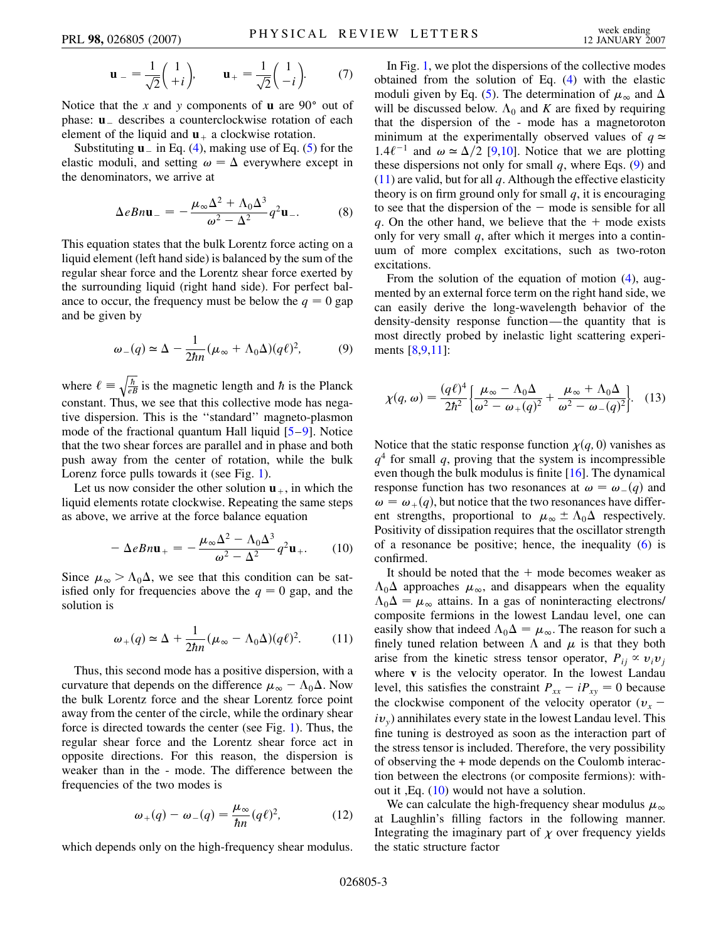$$
\mathbf{u}_{-} = \frac{1}{\sqrt{2}} \begin{pmatrix} 1 \\ +i \end{pmatrix}, \qquad \mathbf{u}_{+} = \frac{1}{\sqrt{2}} \begin{pmatrix} 1 \\ -i \end{pmatrix}.
$$
 (7)

Notice that the *x* and *y* components of **u** are 90<sup>°</sup> out of phase: **u** describes a counterclockwise rotation of each element of the liquid and  $\mathbf{u}_{+}$  a clockwise rotation.

Substituting  $\mathbf{u}$  in Eq. [\(4\)](#page-1-1), making use of Eq. [\(5](#page-1-2)) for the elastic moduli, and setting  $\omega = \Delta$  everywhere except in the denominators, we arrive at

$$
\Delta e B n \mathbf{u}_{-} = -\frac{\mu_{\infty} \Delta^2 + \Lambda_0 \Delta^3}{\omega^2 - \Delta^2} q^2 \mathbf{u}_{-}.
$$
 (8)

This equation states that the bulk Lorentz force acting on a liquid element (left hand side) is balanced by the sum of the regular shear force and the Lorentz shear force exerted by the surrounding liquid (right hand side). For perfect balance to occur, the frequency must be below the  $q = 0$  gap and be given by

<span id="page-2-0"></span>
$$
\omega_{-}(q) \simeq \Delta - \frac{1}{2\hbar n} (\mu_{\infty} + \Lambda_0 \Delta)(q\ell)^2, \tag{9}
$$

where  $\ell \equiv$  $\sqrt{\frac{\hbar}{eB}}$  is the magnetic length and  $\hbar$  is the Planck constant. Thus, we see that this collective mode has negative dispersion. This is the ''standard'' magneto-plasmon mode of the fractional quantum Hall liquid [\[5](#page-3-5)–[9\]](#page-3-17). Notice that the two shear forces are parallel and in phase and both push away from the center of rotation, while the bulk Lorenz force pulls towards it (see Fig. [1](#page-1-3)).

<span id="page-2-2"></span>Let us now consider the other solution  $\mathbf{u}_{+}$ , in which the liquid elements rotate clockwise. Repeating the same steps as above, we arrive at the force balance equation

$$
-\Delta e B n \mathbf{u}_{+} = -\frac{\mu_{\infty} \Delta^2 - \Lambda_0 \Delta^3}{\omega^2 - \Delta^2} q^2 \mathbf{u}_{+}.
$$
 (10)

<span id="page-2-1"></span>Since  $\mu_{\infty} > \Lambda_0 \Delta$ , we see that this condition can be satisfied only for frequencies above the  $q = 0$  gap, and the solution is

$$
\omega_{+}(q) \simeq \Delta + \frac{1}{2\hbar n} (\mu_{\infty} - \Lambda_0 \Delta)(q\ell)^2.
$$
 (11)

Thus, this second mode has a positive dispersion, with a curvature that depends on the difference  $\mu_{\infty} - \Lambda_0 \Delta$ . Now the bulk Lorentz force and the shear Lorentz force point away from the center of the circle, while the ordinary shear force is directed towards the center (see Fig. [1\)](#page-1-3). Thus, the regular shear force and the Lorentz shear force act in opposite directions. For this reason, the dispersion is weaker than in the - mode. The difference between the frequencies of the two modes is

$$
\omega_+(q) - \omega_-(q) = \frac{\mu_\infty}{\hbar n} (q\ell)^2, \tag{12}
$$

<span id="page-2-4"></span>which depends only on the high-frequency shear modulus.

In Fig. [1,](#page-1-3) we plot the dispersions of the collective modes obtained from the solution of Eq. ([4](#page-1-1)) with the elastic moduli given by Eq. ([5\)](#page-1-2). The determination of  $\mu_{\infty}$  and  $\Delta$ will be discussed below.  $\Lambda_0$  and *K* are fixed by requiring that the dispersion of the - mode has a magnetoroton minimum at the experimentally observed values of  $q \approx$ 1.4 $\ell^{-1}$  and  $\omega \approx \Delta/2$  [\[9,](#page-3-17)[10\]](#page-3-8). Notice that we are plotting these dispersions not only for small  $q$ , where Eqs.  $(9)$  $(9)$  and [\(11\)](#page-2-1) are valid, but for all *q*. Although the effective elasticity theory is on firm ground only for small *q*, it is encouraging to see that the dispersion of the  $-$  mode is sensible for all *q*. On the other hand, we believe that the  $+$  mode exists only for very small *q*, after which it merges into a continuum of more complex excitations, such as two-roton excitations.

From the solution of the equation of motion [\(4](#page-1-1)), augmented by an external force term on the right hand side, we can easily derive the long-wavelength behavior of the density-density response function—the quantity that is most directly probed by inelastic light scattering experiments [[8](#page-3-7)[,9,](#page-3-17)[11\]](#page-3-9):

<span id="page-2-3"></span>
$$
\chi(q,\omega) = \frac{(q\ell)^4}{2\hbar^2} \left\{ \frac{\mu_\infty - \Lambda_0 \Delta}{\omega^2 - \omega_+(q)^2} + \frac{\mu_\infty + \Lambda_0 \Delta}{\omega^2 - \omega_-(q)^2} \right\}.\tag{13}
$$

Notice that the static response function  $\chi(q, 0)$  vanishes as  $q<sup>4</sup>$  for small *q*, proving that the system is incompressible even though the bulk modulus is finite [[16](#page-3-14)]. The dynamical response function has two resonances at  $\omega = \omega_-(q)$  and  $\omega = \omega_+(q)$ , but notice that the two resonances have different strengths, proportional to  $\mu_{\infty} \pm \Lambda_0 \Delta$  respectively. Positivity of dissipation requires that the oscillator strength of a resonance be positive; hence, the inequality  $(6)$  $(6)$  is confirmed.

It should be noted that the  $+$  mode becomes weaker as  $\Lambda_0\Delta$  approaches  $\mu_\infty$ , and disappears when the equality  $\Lambda_0 \Delta = \mu_\infty$  attains. In a gas of noninteracting electrons/ composite fermions in the lowest Landau level, one can easily show that indeed  $\Lambda_0 \Delta = \mu_\infty$ . The reason for such a finely tuned relation between  $\Lambda$  and  $\mu$  is that they both arise from the kinetic stress tensor operator,  $P_{ij} \propto v_i v_j$ where **v** is the velocity operator. In the lowest Landau level, this satisfies the constraint  $P_{xx} - iP_{xy} = 0$  because the clockwise component of the velocity operator  $(v_x$  $iv_{y}$ ) annihilates every state in the lowest Landau level. This fine tuning is destroyed as soon as the interaction part of the stress tensor is included. Therefore, the very possibility of observing the + mode depends on the Coulomb interaction between the electrons (or composite fermions): without it ,Eq. ([10](#page-2-2)) would not have a solution.

We can calculate the high-frequency shear modulus  $\mu_{\infty}$ at Laughlin's filling factors in the following manner. Integrating the imaginary part of  $\chi$  over frequency yields the static structure factor